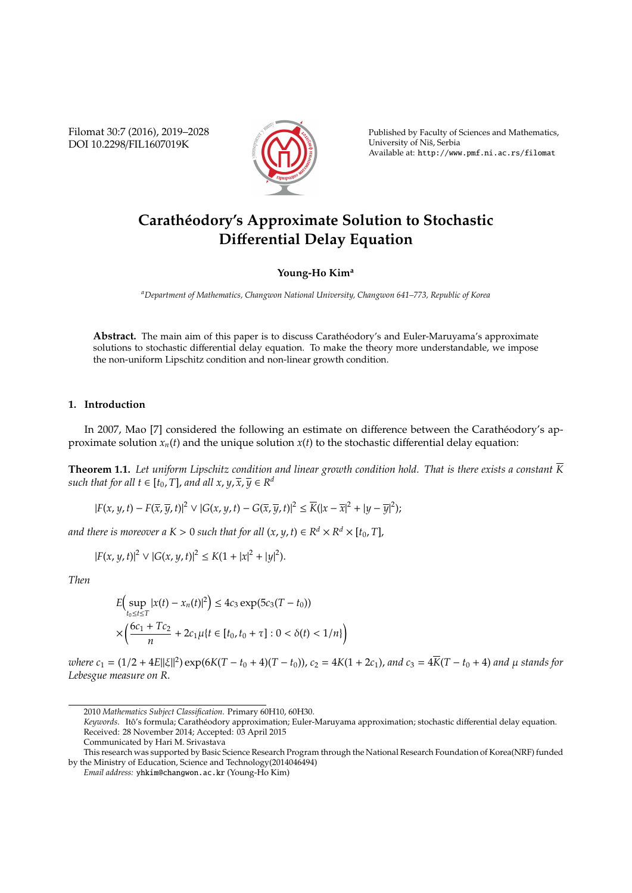Filomat 30:7 (2016), 2019–2028 DOI 10.2298/FIL1607019K



Published by Faculty of Sciences and Mathematics, University of Nis, Serbia ˇ Available at: http://www.pmf.ni.ac.rs/filomat

# **Carathéodory's Approximate Solution to Stochastic Di**ff**erential Delay Equation**

## **Young-Ho Kim<sup>a</sup>**

*<sup>a</sup>Department of Mathematics, Changwon National University, Changwon 641–773, Republic of Korea*

Abstract. The main aim of this paper is to discuss Carathéodory's and Euler-Maruyama's approximate solutions to stochastic differential delay equation. To make the theory more understandable, we impose the non-uniform Lipschitz condition and non-linear growth condition.

### **1. Introduction**

In 2007, Mao [7] considered the following an estimate on difference between the Carathéodory's approximate solution  $x_n(t)$  and the unique solution  $x(t)$  to the stochastic differential delay equation:

**Theorem 1.1.** Let uniform Lipschitz condition and linear growth condition hold. That is there exists a constant  $\overline{K}$ *such that for all t*  $\in$  [ $t_0$ , *T*], *and all x*, *y*,  $\overline{x}$ ,  $\overline{y}$   $\in$   $R^d$ 

$$
|F(x,y,t)-F(\overline{x},\overline{y},t)|^2 \vee |G(x,y,t)-G(\overline{x},\overline{y},t)|^2 \le \overline{K}(|x-\overline{x}|^2+|y-\overline{y}|^2);
$$

*and there is moreover a*  $K > 0$  *such that for all*  $(x, y, t) \in R^d \times R^d \times [t_0, T]$ ,

$$
|F(x, y, t)|^2 \vee |G(x, y, t)|^2 \le K(1 + |x|^2 + |y|^2).
$$

*Then*

$$
E\Big(\sup_{t_0 \le t \le T} |x(t) - x_n(t)|^2\Big) \le 4c_3 \exp(5c_3(T - t_0))
$$
  
 
$$
\times \Big(\frac{6c_1 + Tc_2}{n} + 2c_1\mu\{t \in [t_0, t_0 + \tau] : 0 < \delta(t) < 1/n\}\Big)
$$

where  $c_1 = (1/2 + 4E||\xi||^2) \exp(6K(T - t_0 + 4)(T - t_0))$ ,  $c_2 = 4K(1 + 2c_1)$ , and  $c_3 = 4\overline{K}(T - t_0 + 4)$  and  $\mu$  stands for *Lebesgue measure on R*.

<sup>2010</sup> *Mathematics Subject Classification*. Primary 60H10, 60H30.

Keywords. Itô's formula; Carathéodory approximation; Euler-Maruyama approximation; stochastic differential delay equation. Received: 28 November 2014; Accepted: 03 April 2015

Communicated by Hari M. Srivastava

This research was supported by Basic Science Research Program through the National Research Foundation of Korea(NRF) funded by the Ministry of Education, Science and Technology(2014046494)

*Email address:* yhkim@changwon.ac.kr (Young-Ho Kim)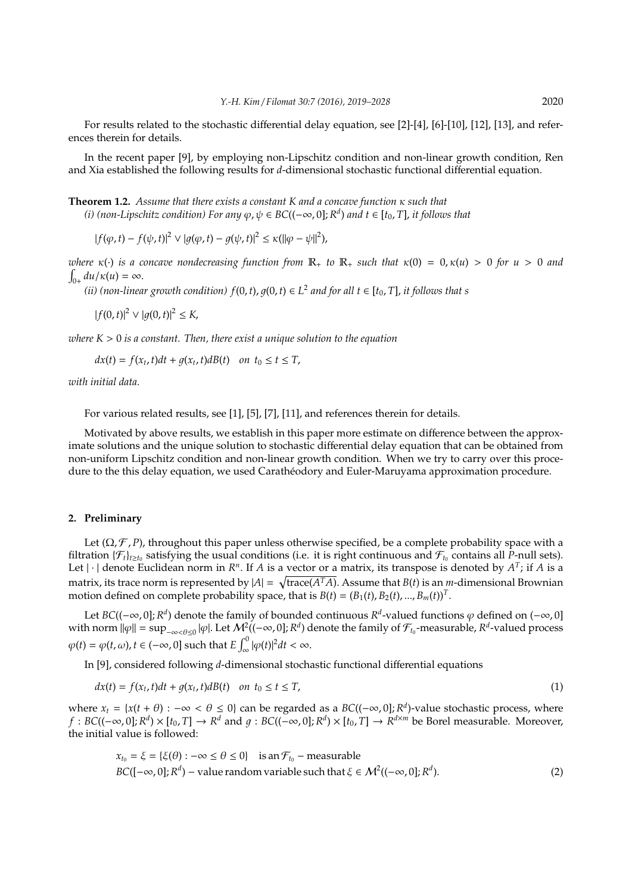For results related to the stochastic differential delay equation, see [2]-[4], [6]-[10], [12], [13], and references therein for details.

In the recent paper [9], by employing non-Lipschitz condition and non-linear growth condition, Ren and Xia established the following results for *d*-dimensional stochastic functional differential equation.

**Theorem 1.2.** *Assume that there exists a constant K and a concave function* κ *such that (i)* (non-Lipschitz condition) For any  $\varphi$ ,  $\psi \in BC((-\infty, 0]; R^d)$  and  $t \in [t_0, T]$ , it follows that

 $|f(\varphi, t) - f(\psi, t)|^2 \vee |g(\varphi, t) - g(\psi, t)|^2 \le \kappa (||\varphi - \psi||^2),$ 

*where*  $\kappa(\cdot)$  *is a concave nondecreasing function from*  $\mathbb{R}_+$  *to*  $\mathbb{R}_+$  *such that*  $\kappa(0) = 0, \kappa(u) > 0$  *for*  $u > 0$  *and*  $\int_{0+} du/\kappa(u) = \infty.$ 

(*ii*) (non-linear growth condition)  $f(0, t)$ ,  $g(0, t) \in L^2$  and for all  $t \in [t_0, T]$ , it follows that s

 $|f(0, t)|^2 \vee |g(0, t)|^2 \leq K$ ,

*where K* > 0 *is a constant. Then, there exist a unique solution to the equation*

 $dx(t) = f(x_t, t)dt + g(x_t, t)dB(t)$  *on*  $t_0 \le t \le T$ ,

*with initial data.*

For various related results, see [1], [5], [7], [11], and references therein for details.

Motivated by above results, we establish in this paper more estimate on difference between the approximate solutions and the unique solution to stochastic differential delay equation that can be obtained from non-uniform Lipschitz condition and non-linear growth condition. When we try to carry over this procedure to the this delay equation, we used Carathéodory and Euler-Maruyama approximation procedure.

## **2. Preliminary**

Let  $(\Omega, \mathcal{F}, P)$ , throughout this paper unless otherwise specified, be a complete probability space with a filtration  $\{\mathcal{F}_t\}_{t\geq t_0}$  satisfying the usual conditions (i.e. it is right continuous and  $\mathcal{F}_{t_0}$  contains all P-null sets). Let  $|\cdot|$  denote Euclidean norm in  $R^n$ . If *A* is a vector or a matrix, its transpose is denoted by  $A^T$ ; if *A* is a matrix, its trace norm is represented by  $|A| = \sqrt{\text{trace}(A^TA)}$ . Assume that  $B(t)$  is an *m*-dimensional Brownian motion defined on complete probability space, that is  $B(t) = (B_1(t), B_2(t), ..., B_m(t))^T$ .

Let  $BC((-\infty, 0]; R^d)$  denote the family of bounded continuous  $R^d$ -valued functions  $\varphi$  defined on  $(-\infty, 0]$ with norm  $\|\varphi\| = \sup_{-\infty \leq \theta \leq 0} |\varphi|$ . Let  $\mathcal{M}^2((-\infty, 0]; R^d)$  denote the family of  $\mathcal{F}_{t_0}$ -measurable,  $R^d$ -valued process  $\varphi(t) = \varphi(t, \omega), t \in (-\infty, 0]$  such that  $E \int_{\infty}^{0} |\varphi(t)|^2 dt < \infty$ .

In [9], considered following *d*-dimensional stochastic functional differential equations

$$
dx(t) = f(x_t, t)dt + g(x_t, t)dB(t) \quad on \ t_0 \le t \le T,
$$
\n
$$
(1)
$$

where  $x_t = \{x(t + \theta) : -\infty < \theta \le 0\}$  can be regarded as a  $BC((-\infty, 0]; R^d)$ -value stochastic process, where *f* : *BC*((−∞, 0]; *R<sup>d</sup>*) × [*t*<sub>0</sub>, *T*] → *R<sup>d</sup>* and *g* : *BC*((−∞, 0]; *R<sup>d</sup>*) × [*t*<sub>0</sub>, *T*] → *R<sup>d×<i>m*</sup> be Borel measurable. Moreover, the initial value is followed:

$$
x_{t_0} = \xi = \{\xi(\theta) : -\infty \le \theta \le 0\} \text{ is an } \mathcal{F}_{t_0} - \text{measurable}
$$
  
BC([ $-\infty$ , 0]; R<sup>d</sup>) – value random variable such that  $\xi \in \mathcal{M}^2((-\infty, 0]; R^d)$ . (2)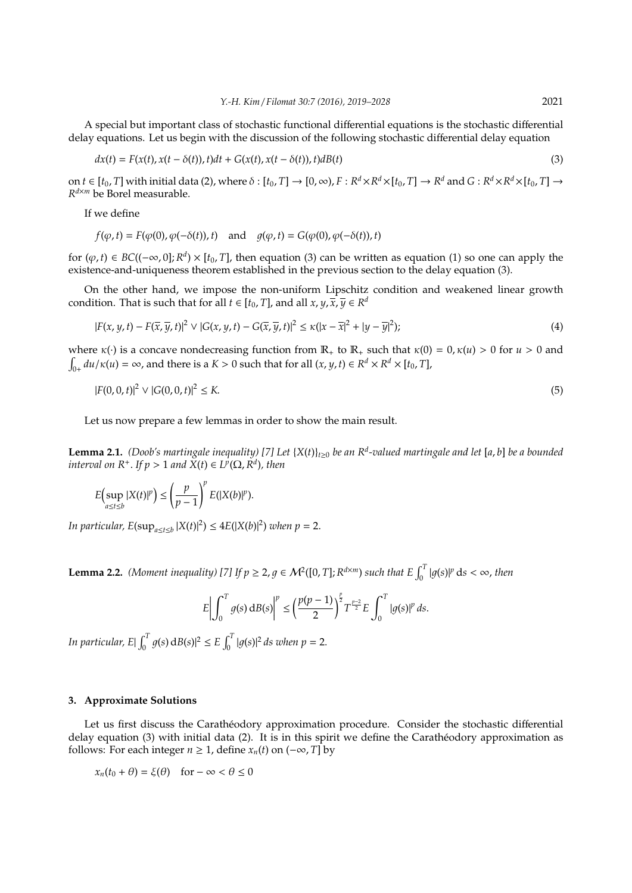A special but important class of stochastic functional differential equations is the stochastic differential delay equations. Let us begin with the discussion of the following stochastic differential delay equation

$$
dx(t) = F(x(t), x(t - \delta(t)), t)dt + G(x(t), x(t - \delta(t)), t)dB(t)
$$
\n(3)

on  $t\in[t_0,T]$  with initial data (2), where  $\delta:[t_0,T]\to[0,\infty)$ ,  $F:R^d\times R^d\times[t_0,T]\to R^d$  and  $G:R^d\times R^d\times[t_0,T]\to$ *R <sup>d</sup>*×*<sup>m</sup>* be Borel measurable.

If we define

$$
f(\varphi, t) = F(\varphi(0), \varphi(-\delta(t)), t) \quad \text{and} \quad g(\varphi, t) = G(\varphi(0), \varphi(-\delta(t)), t)
$$

for  $(\varphi, t) \in BC((-\infty, 0]; R^d) \times [t_0, T]$ , then equation (3) can be written as equation (1) so one can apply the existence-and-uniqueness theorem established in the previous section to the delay equation (3).

On the other hand, we impose the non-uniform Lipschitz condition and weakened linear growth condition. That is such that for all  $t \in [t_0, T]$ , and all  $x, y, \overline{x}$ ,  $\overline{y} \in R^d$ 

$$
|F(x, y, t) - F(\overline{x}, \overline{y}, t)|^2 \vee |G(x, y, t) - G(\overline{x}, \overline{y}, t)|^2 \le \kappa(|x - \overline{x}|^2 + |y - \overline{y}|^2);
$$
\n(4)

where  $\kappa(\cdot)$  is a concave nondecreasing function from  $\mathbb{R}_+$  to  $\mathbb{R}_+$  such that  $\kappa(0) = 0$ ,  $\kappa(u) > 0$  for  $u > 0$  and  $\int_{0+}$  *du*/ $\kappa$ (*u*) =  $\infty$ , and there is a *K* > 0 such that for all (*x*, *y*, *t*)  $\in$  *R*<sup>*d*</sup>  $\times$  *R*<sup>*d*</sup>  $\times$  [*t*<sub>0</sub>, *T*],

$$
|F(0,0,t)|^2 \vee |G(0,0,t)|^2 \le K. \tag{5}
$$

Let us now prepare a few lemmas in order to show the main result.

**Lemma 2.1.** *(Doob's martingale inequality) [7] Let* {*X*(*t*)}*t*≥<sup>0</sup> *be an R<sup>d</sup> -valued martingale and let* [*a*, *b*] *be a bounded interval on*  $R^+$ *. If*  $p > 1$  *and*  $\widetilde{X}(t) \in L^p(\Omega, \widetilde{R}^d)$ *, then* 

$$
E\Bigl(\sup_{a\leq t\leq b}|X(t)|^p\Bigr)\leq \left(\frac{p}{p-1}\right)^p E(|X(b)|^p).
$$

*In particular,*  $E(\sup_{a \le t \le b} |X(t)|^2) \le 4E(|X(b)|^2)$  *when*  $p = 2$ .

**Lemma 2.2.** *(Moment inequality)* [7] If  $p \ge 2$ ,  $g \in M^2([0, T]; R^{d \times m})$  *such that*  $E \int_0^T |g(s)|^p ds < \infty$ , then

$$
E\left|\int_0^T g(s) dB(s)\right|^p \le \left(\frac{p(p-1)}{2}\right)^{\frac{p}{2}} T^{\frac{p-2}{2}} E\int_0^T |g(s)|^p ds.
$$

*In particular, E* $\int_0^T g(s) \, dB(s) \, ds \leq E \int_0^T |g(s)|^2 \, ds$  when  $p = 2$ .

#### **3. Approximate Solutions**

Let us first discuss the Carathéodory approximation procedure. Consider the stochastic differential delay equation (3) with initial data (2). It is in this spirit we define the Caratheodory approximation as follows: For each integer  $n \geq 1$ , define  $x_n(t)$  on  $(-\infty, T]$  by

$$
x_n(t_0 + \theta) = \xi(\theta) \quad \text{for } -\infty < \theta \le 0
$$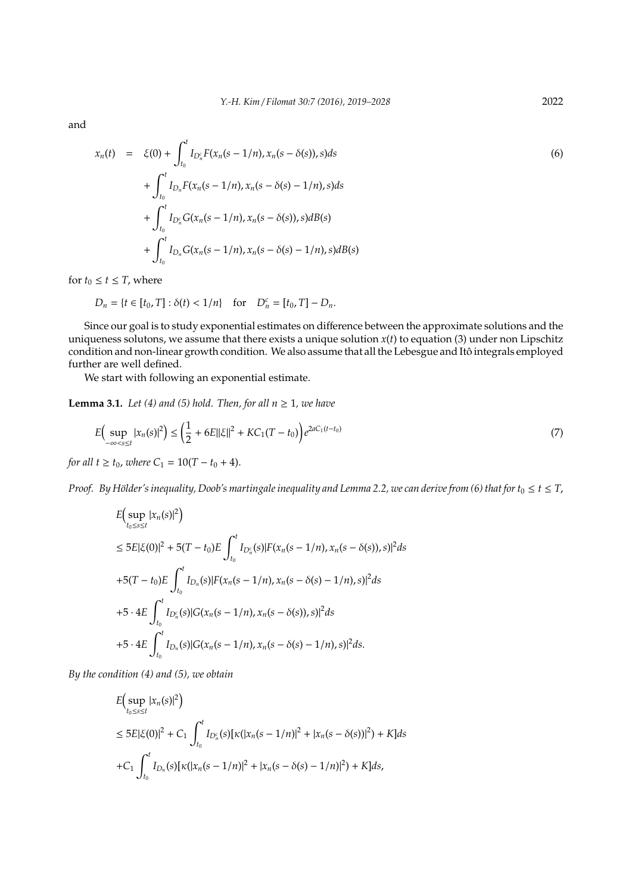and

$$
x_n(t) = \xi(0) + \int_{t_0}^t I_{D_n^c} F(x_n(s - 1/n), x_n(s - \delta(s)), s) ds
$$
  
+ 
$$
\int_{t_0}^t I_{D_n} F(x_n(s - 1/n), x_n(s - \delta(s) - 1/n), s) ds
$$
  
+ 
$$
\int_{t_0}^t I_{D_n^c} G(x_n(s - 1/n), x_n(s - \delta(s)), s) dB(s)
$$
  
+ 
$$
\int_{t_0}^t I_{D_n} G(x_n(s - 1/n), x_n(s - \delta(s) - 1/n), s) dB(s)
$$
 (6)

for  $t_0 \le t \le T$ , where

$$
D_n = \{ t \in [t_0, T] : \delta(t) < 1/n \} \quad \text{for} \quad D_n^c = [t_0, T] - D_n.
$$

Since our goal is to study exponential estimates on difference between the approximate solutions and the uniqueness solutons, we assume that there exists a unique solution *x*(*t*) to equation (3) under non Lipschitz condition and non-linear growth condition. We also assume that all the Lebesgue and Itô integrals employed further are well defined.

We start with following an exponential estimate.

**Lemma 3.1.** *Let* (4) and (5) hold. Then, for all  $n \geq 1$ , we have

$$
E\Big(\sup_{-\infty < s \le t} |x_n(s)|^2\Big) \le \left(\frac{1}{2} + 6E||\xi||^2 + KC_1(T - t_0)\right)e^{2aC_1(t - t_0)}\tag{7}
$$

*for all t*  $\geq t_0$ *, where*  $C_1 = 10(T - t_0 + 4)$ .

*Proof.* By Hölder's inequality, Doob's martingale inequality and Lemma 2.2, we can derive from (6) that for  $t_0 \le t \le T$ ,

$$
E\Big(\sup_{t_0 \le s \le t} |x_n(s)|^2\Big)
$$
  
\n
$$
\le 5E|\xi(0)|^2 + 5(T - t_0)E\int_{t_0}^t I_{D_n^c}(s)|F(x_n(s - 1/n), x_n(s - \delta(s)), s)|^2 ds
$$
  
\n
$$
+5(T - t_0)E\int_{t_0}^t I_{D_n^c}(s)|F(x_n(s - 1/n), x_n(s - \delta(s) - 1/n), s)|^2 ds
$$
  
\n
$$
+5 \cdot 4E\int_{t_0}^t I_{D_n^c}(s)|G(x_n(s - 1/n), x_n(s - \delta(s)), s)|^2 ds
$$
  
\n
$$
+5 \cdot 4E\int_{t_0}^t I_{D_n^c}(s)|G(x_n(s - 1/n), x_n(s - \delta(s) - 1/n), s)|^2 ds.
$$

*By the condition (4) and (5), we obtain*

$$
E\Big(\sup_{t_0 \le s \le t} |x_n(s)|^2\Big)
$$
  
\n
$$
\le 5E|\xi(0)|^2 + C_1 \int_{t_0}^t I_{D_n^c}(s)[\kappa(|x_n(s - 1/n)|^2 + |x_n(s - \delta(s))|^2) + K]ds
$$
  
\n
$$
+C_1 \int_{t_0}^t I_{D_n^c}(s)[\kappa(|x_n(s - 1/n)|^2 + |x_n(s - \delta(s) - 1/n)|^2) + K]ds,
$$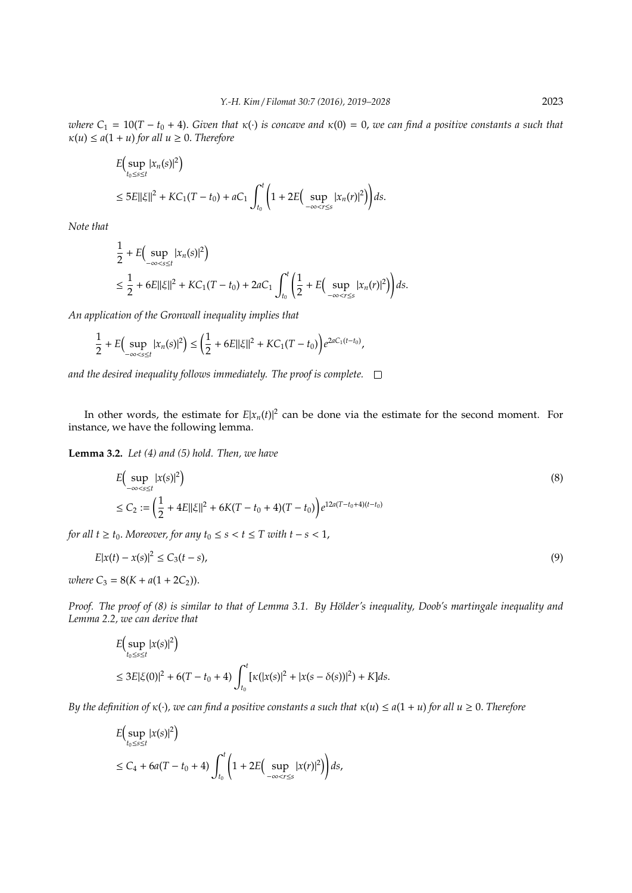*where*  $C_1 = 10(T - t_0 + 4)$ . *Given that*  $\kappa(\cdot)$  *is concave and*  $\kappa(0) = 0$ *, we can find a positive constants a such that*  $\kappa(u) \leq a(1+u)$  for all  $u \geq 0$ . Therefore

$$
E\Big(\sup_{t_0 \le s \le t} |x_n(s)|^2\Big) \le 5E||\xi||^2 + KC_1(T - t_0) + aC_1 \int_{t_0}^t \Big(1 + 2E\Big(\sup_{-\infty < r \le s} |x_n(r)|^2\Big)\Big) ds.
$$

*Note that*

$$
\frac{1}{2} + E\Big(\sup_{-\infty < s \le t} |x_n(s)|^2\Big) \\
\le \frac{1}{2} + 6E||\xi||^2 + KC_1(T - t_0) + 2aC_1 \int_{t_0}^t \Big(\frac{1}{2} + E\Big(\sup_{-\infty < r \le s} |x_n(r)|^2\Big)\Big) ds.
$$

*An application of the Gronwall inequality implies that*

 $\mathbb{R}$ 

$$
\frac{1}{2} + E\Big(\sup_{-\infty < s \le t} |x_n(s)|^2\Big) \le \bigg(\frac{1}{2} + 6E||\xi||^2 + KC_1(T - t_0)\bigg)e^{2aC_1(t - t_0)},
$$

*and the desired inequality follows immediately. The proof is complete.*

In other words, the estimate for  $E|x_n(t)|^2$  can be done via the estimate for the second moment. For instance, we have the following lemma.

**Lemma 3.2.** *Let (4) and (5) hold. Then, we have*

 $\ddot{\phantom{a}}$ 

$$
E\Big(\sup_{-\infty < s \le t} |x(s)|^2\Big) \tag{8}
$$
\n
$$
\le C_2 := \left(\frac{1}{2} + 4E||\xi||^2 + 6K(T - t_0 + 4)(T - t_0)\right)e^{12a(T - t_0 + 4)(t - t_0)}
$$

*for all t*  $\ge t_0$ *. Moreover, for any t*<sub>0</sub>  $\le s < t \le T$  *with t* − *s* < 1*,* 

$$
E|x(t) - x(s)|^2 \le C_3(t - s),
$$
\n(9)

*where*  $C_3 = 8(K + a(1 + 2C_2))$ .

 $\mathcal{L}$ 

*Proof. The proof of (8) is similar to that of Lemma 3.1. By Hölder's inequality, Doob's martingale inequality and Lemma 2.2, we can derive that*

$$
E\Big(\sup_{t_0 \le s \le t} |x(s)|^2\Big) \le 3E|\xi(0)|^2 + 6(T - t_0 + 4) \int_{t_0}^t \left[ \kappa(|x(s)|^2 + |x(s - \delta(s))|^2) + K \right] ds.
$$

*By the definition of*  $κ(·)$ *, we can find a positive constants a such that*  $κ(u) ≤ a(1 + u)$  *for all*  $u ≥ 0$ *. Therefore* 

$$
\begin{aligned} &E\Big(\sup_{t_0\leq s\leq t}|x(s)|^2\Big)\\ &\leq C_4+6a(T-t_0+4)\int_{t_0}^t\Big(1+2E\Big(\sup_{-\infty< r\leq s}|x(r)|^2\Big)\Big)ds,\end{aligned}
$$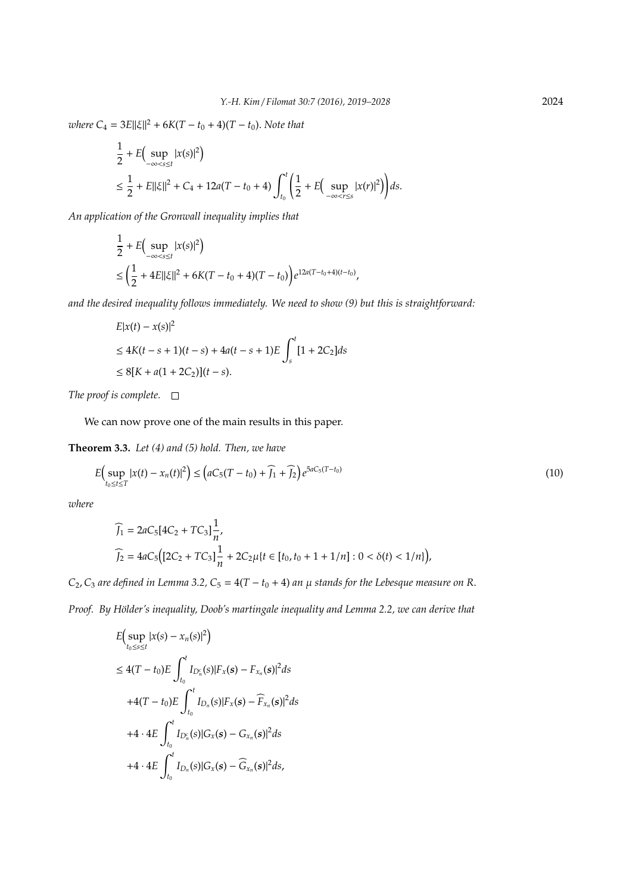$\omega$ *kere*  $C_4 = 3E||\xi||^2 + 6K(T - t_0 + 4)(T - t_0)$ . *Note that* 

$$
\frac{1}{2} + E\Big(\sup_{-\infty < s \le t} |x(s)|^2\Big) \n\le \frac{1}{2} + E||\xi||^2 + C_4 + 12a(T - t_0 + 4) \int_{t_0}^t \left(\frac{1}{2} + E\Big(\sup_{-\infty < r \le s} |x(r)|^2\Big)\right) ds.
$$

*An application of the Gronwall inequality implies that*

$$
\frac{1}{2} + E\Big(\sup_{-\infty < s \le t} |x(s)|^2\Big) \\
\le \left(\frac{1}{2} + 4E\|\xi\|^2 + 6K(T - t_0 + 4)(T - t_0)\right)e^{12a(T - t_0 + 4)(t - t_0)},
$$

*and the desired inequality follows immediately. We need to show (9) but this is straightforward:*

$$
E|x(t) - x(s)|^2
$$
  
\n
$$
\leq 4K(t - s + 1)(t - s) + 4a(t - s + 1)E \int_s^t [1 + 2C_2]ds
$$
  
\n
$$
\leq 8[K + a(1 + 2C_2)](t - s).
$$

*The proof is complete.*

We can now prove one of the main results in this paper.

**Theorem 3.3.** *Let (4) and (5) hold. Then, we have*

$$
E\Big(\sup_{t_0 \le t \le T} |x(t) - x_n(t)|^2\Big) \le \Big(aC_5(T - t_0) + \widehat{f}_1 + \widehat{f}_2\Big)e^{5aC_5(T - t_0)}\tag{10}
$$

*where*

$$
\begin{aligned} \widehat{J}_1 &= 2aC_5[4C_2 + TC_3]\frac{1}{n}, \\ \widehat{J}_2 &= 4aC_5\Big([2C_2 + TC_3]\frac{1}{n} + 2C_2\mu\{t \in [t_0, t_0 + 1 + 1/n] : 0 < \delta(t) < 1/n\}\Big), \end{aligned}
$$

*C*<sub>2</sub>, *C*<sub>3</sub> *are defined in Lemma 3.2, C*<sub>5</sub> =  $4(T - t_0 + 4)$  *an*  $\mu$  *stands for the Lebesque measure on R*.

*Proof.* By Hölder's inequality, Doob's martingale inequality and Lemma 2.2, we can derive that

$$
E\Big(\sup_{t_0 \le s \le t} |x(s) - x_n(s)|^2\Big)
$$
  
\n
$$
\le 4(T - t_0)E\int_{t_0}^t I_{D_n^c}(s)|F_x(s) - F_{x_n}(s)|^2 ds
$$
  
\n
$$
+ 4(T - t_0)E\int_{t_0}^t I_{D_n}(s)|F_x(s) - \widehat{F}_{x_n}(s)|^2 ds
$$
  
\n
$$
+ 4 \cdot 4E\int_{t_0}^t I_{D_n^c}(s)|G_x(s) - G_{x_n}(s)|^2 ds
$$
  
\n
$$
+ 4 \cdot 4E\int_{t_0}^t I_{D_n}(s)|G_x(s) - \widehat{G}_{x_n}(s)|^2 ds,
$$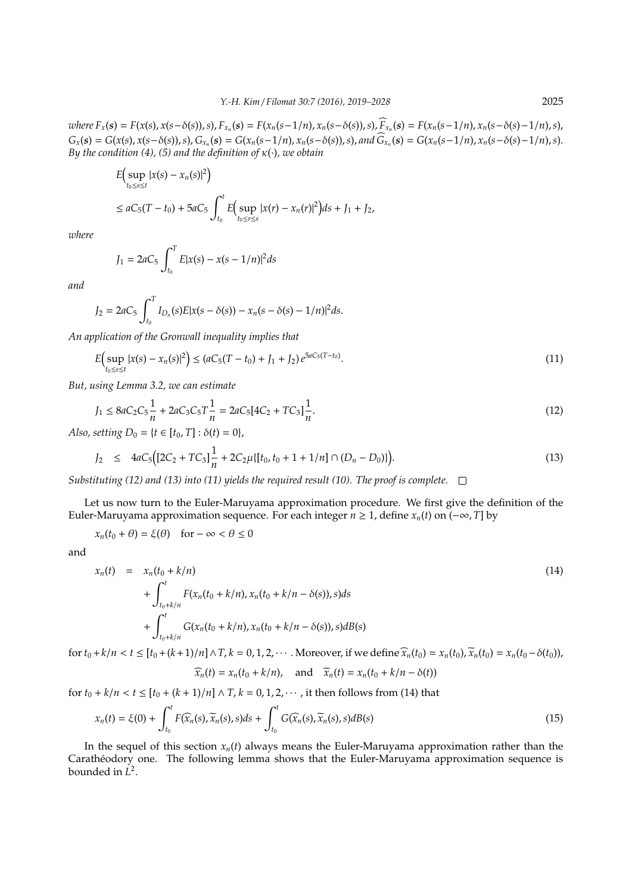where  $F_x(s) = F(x(s), x(s-\delta(s)), s)$ ,  $F_{x_n}(s) = F(x_n(s-1/n), x_n(s-\delta(s)), s)$ ,  $\sum_{x_n} f(x_n(s-1/n), x_n(s-\delta(s)-1/n), s)$ ,  $G_x(s) = G(x(s), x(s-\delta(s)), s), G_{x_n}(s) = G(x_n(s-1/n), x_n(s-\delta(s)), s)$ , and  $\widehat{G}_{x_n}(s) = G(x_n(s-1/n), x_n(s-\delta(s)-1/n), s)$ . *By the condition (4), (5) and the definition of* κ(·)*, we obtain*

$$
E\Big(\sup_{t_0 \le s \le t} |x(s) - x_n(s)|^2\Big)
$$
  

$$
\le aC_5(T - t_0) + 5aC_5 \int_{t_0}^t E\Big(\sup_{t_0 \le r \le s} |x(r) - x_n(r)|^2\Big) ds + J_1 + J_2,
$$

*where*

$$
J_1 = 2aC_5 \int_{t_0}^T E|x(s) - x(s - 1/n)|^2 ds
$$

*and*

$$
J_2 = 2aC_5 \int_{t_0}^T I_{D_n}(s) E|x(s - \delta(s)) - x_n(s - \delta(s) - 1/n)|^2 ds.
$$

*An application of the Gronwall inequality implies that*

$$
E\Big(\sup_{t_0 \le s \le t} |x(s) - x_n(s)|^2\Big) \le (aC_5(T - t_0) + J_1 + J_2) e^{5aC_5(T - t_0)}.
$$
\n(11)

*But, using Lemma 3.2, we can estimate*

$$
J_1 \le 8aC_2C_5 \frac{1}{n} + 2aC_3C_5T \frac{1}{n} = 2aC_5[4C_2 + TC_3] \frac{1}{n}.
$$
\n(12)

*Also, setting*  $D_0 = \{t \in [t_0, T] : \delta(t) = 0\}$ ,

$$
J_2 \leq 4aC_5\big( [2C_2 + TC_3] \frac{1}{n} + 2C_2 \mu \{ [t_0, t_0 + 1 + 1/n] \cap (D_n - D_0) \} \big). \tag{13}
$$

*Substituting (12) and (13) into (11) yields the required result (10). The proof is complete.*

Let us now turn to the Euler-Maruyama approximation procedure. We first give the definition of the Euler-Maruyama approximation sequence. For each integer  $n \ge 1$ , define  $x_n(t)$  on  $(-\infty, T]$  by

$$
x_n(t_0 + \theta) = \xi(\theta) \quad \text{for } -\infty < \theta \le 0
$$

and

$$
x_n(t) = x_n(t_0 + k/n)
$$
  
+  $\int_{t_0 + k/n}^t F(x_n(t_0 + k/n), x_n(t_0 + k/n - \delta(s)), s) ds$   
+  $\int_{t_0 + k/n}^t G(x_n(t_0 + k/n), x_n(t_0 + k/n - \delta(s)), s) dB(s)$  (14)

for  $t_0 + k/n < t \leq [t_0 + (k+1)/n] \wedge T$ ,  $k = 0, 1, 2, \cdots$ . Moreover, if we define  $\widehat{x}_n(t_0) = x_n(t_0)$ ,  $\widetilde{x}_n(t_0) = x_n(t_0 - \delta(t_0))$ ,

$$
\widehat{x}_n(t) = x_n(t_0 + k/n), \quad \text{and} \quad \widetilde{x}_n(t) = x_n(t_0 + k/n - \delta(t))
$$

for  $t_0 + k/n < t \le [t_0 + (k+1)/n] \wedge T$ ,  $k = 0, 1, 2, \dots$ , it then follows from (14) that

$$
x_n(t) = \xi(0) + \int_{t_0}^t F(\widehat{x}_n(s), \widetilde{x}_n(s), s)ds + \int_{t_0}^t G(\widehat{x}_n(s), \widetilde{x}_n(s), s)dB(s)
$$
\n(15)

In the sequel of this section  $x_n(t)$  always means the Euler-Maruyama approximation rather than the Carathéodory one. The following lemma shows that the Euler-Maruyama approximation sequence is bounded in *L* 2 .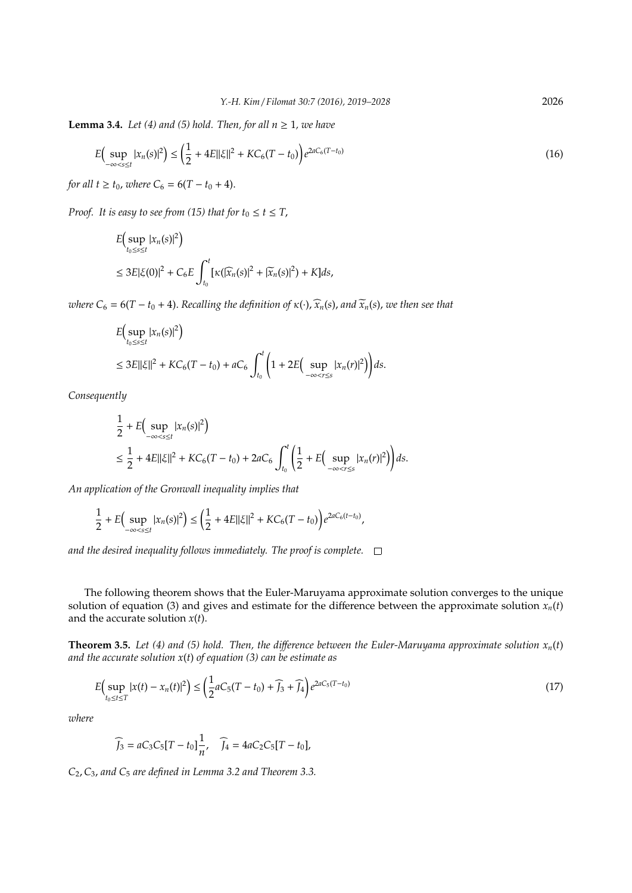**Lemma 3.4.** *Let* (4) and (5) hold. Then, for all  $n \ge 1$ , we have

$$
E\Big(\sup_{-\infty < s \le t} |x_n(s)|^2\Big) \le \left(\frac{1}{2} + 4E||\xi||^2 + KC_6(T - t_0)\right)e^{2aC_6(T - t_0)}\tag{16}
$$

*for all t*  $\geq t_0$ *, where*  $C_6 = 6(T - t_0 + 4)$ .

*Proof.* It is easy to see from (15) that for  $t_0 \le t \le T$ ,

$$
E\left(\sup_{t_0\leq s\leq t} |x_n(s)|^2\right)
$$
  
\n
$$
\leq 3E|\xi(0)|^2 + C_6 E \int_{t_0}^t \left[\kappa(|\widehat{x}_n(s)|^2 + |\widetilde{x}_n(s)|^2) + K\right] ds,
$$

*where*  $C_6 = 6(T - t_0 + 4)$ . *Recalling the definition of*  $\kappa(\cdot)$ ,  $\widehat{x}_n(s)$ , and  $\widetilde{x}_n(s)$ , we then see that

$$
E\Big(\sup_{t_0 \le s \le t} |x_n(s)|^2\Big)
$$
  
\n
$$
\le 3E||\xi||^2 + KC_6(T - t_0) + aC_6 \int_{t_0}^t \Big(1 + 2E\Big(\sup_{-\infty < r \le s} |x_n(r)|^2\Big)\Big) ds.
$$

*Consequently*

$$
\frac{1}{2} + E\Big(\sup_{-\infty < s \le t} |x_n(s)|^2\Big) \n\le \frac{1}{2} + 4E||\xi||^2 + KC_6(T - t_0) + 2aC_6 \int_{t_0}^t \Big(\frac{1}{2} + E\Big(\sup_{-\infty < r \le s} |x_n(r)|^2\Big)\Big) ds.
$$

*An application of the Gronwall inequality implies that*

$$
\frac{1}{2} + E\Big(\sup_{-\infty < s \le t} |x_n(s)|^2\Big) \le \left(\frac{1}{2} + 4E||\xi||^2 + KC_6(T - t_0)\right)e^{2aC_6(t - t_0)},
$$

*and the desired inequality follows immediately. The proof is complete.*

The following theorem shows that the Euler-Maruyama approximate solution converges to the unique solution of equation (3) and gives and estimate for the difference between the approximate solution  $x_n(t)$ and the accurate solution *x*(*t*).

**Theorem 3.5.** *Let (4) and (5) hold. Then, the difference between the Euler-Maruyama approximate solution*  $x_n(t)$ *and the accurate solution x*(*t*) *of equation (3) can be estimate as*

$$
E\Big(\sup_{t_0 \le t \le T} |x(t) - x_n(t)|^2\Big) \le \left(\frac{1}{2}aC_5(T - t_0) + \widehat{J}_3 + \widehat{J}_4\right)e^{2aC_5(T - t_0)}\tag{17}
$$

*where*

$$
\widehat{J}_3 = aC_3C_5[T - t_0]\frac{1}{n}, \quad \widehat{J}_4 = 4aC_2C_5[T - t_0],
$$

*C*2,*C*3, *and C*<sup>5</sup> *are defined in Lemma 3.2 and Theorem 3.3.*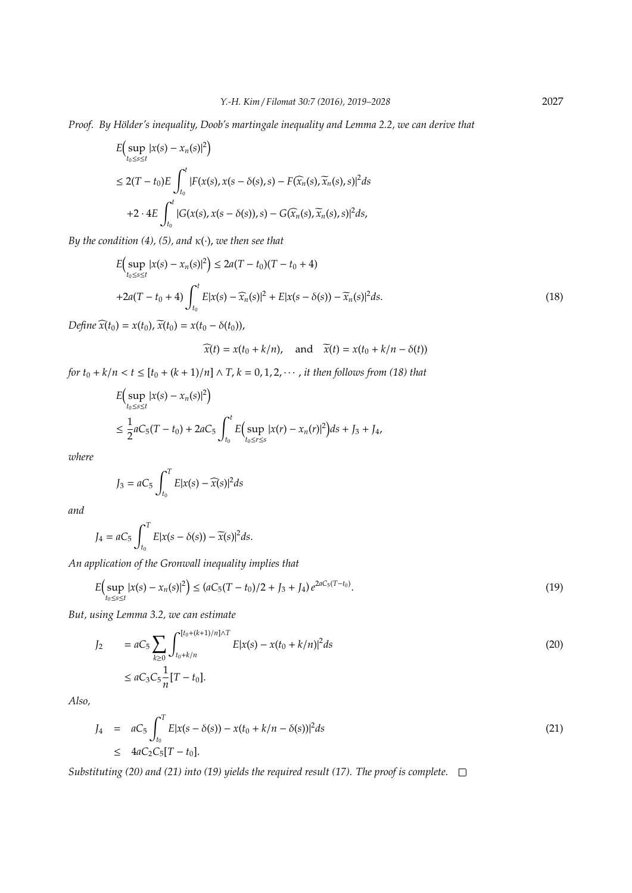*Proof.* By Hölder's inequality, Doob's martingale inequality and Lemma 2.2, we can derive that

$$
E\Big(\sup_{t_0\leq s\leq t} |x(s) - x_n(s)|^2\Big)
$$
  
\n
$$
\leq 2(T - t_0)E\int_{t_0}^t |F(x(s), x(s - \delta(s), s) - F(\widehat{x}_n(s), \widetilde{x}_n(s), s)|^2 ds
$$
  
\n
$$
+2 \cdot 4E\int_{t_0}^t |G(x(s), x(s - \delta(s)), s) - G(\widehat{x}_n(s), \widetilde{x}_n(s), s)|^2 ds,
$$

*By the condition (4), (5), and*  $\kappa(\cdot)$ *, we then see that* 

$$
E\Big(\sup_{t_0 \le s \le t} |x(s) - x_n(s)|^2\Big) \le 2a(T - t_0)(T - t_0 + 4)
$$
  
+2a(T - t\_0 + 4)  $\int_{t_0}^t E|x(s) - \widehat{x}_n(s)|^2 + E|x(s - \delta(s)) - \widetilde{x}_n(s)|^2 ds.$  (18)

*Define*  $\widehat{x}(t_0) = x(t_0), \, \widetilde{x}(t_0) = x(t_0 - \delta(t_0)),$ 

 $\widetilde{x}(t) = x(t_0 + k/n),$  and  $\widetilde{x}(t) = x(t_0 + k/n - \delta(t))$ 

*for*  $t_0 + k/n < t \leq [t_0 + (k + 1)/n] \wedge T$ ,  $k = 0, 1, 2, \cdots$ , *it then follows from (18) that* 

$$
E\Big(\sup_{t_0 \le s \le t} |x(s) - x_n(s)|^2\Big)
$$
  
\n
$$
\le \frac{1}{2} a C_5 (T - t_0) + 2 a C_5 \int_{t_0}^t E\Big(\sup_{t_0 \le r \le s} |x(r) - x_n(r)|^2\Big) ds + J_3 + J_4,
$$

*where*

$$
J_3 = aC_5 \int_{t_0}^T E|x(s) - \widehat{x}(s)|^2 ds
$$

*and*

$$
J_4 = aC_5 \int_{t_0}^T E|x(s-\delta(s)) - \widetilde{x}(s)|^2 ds.
$$

*An application of the Gronwall inequality implies that*

$$
E\Big(\sup_{t_0 \le s \le t} |x(s) - x_n(s)|^2\Big) \le (aC_5(T - t_0)/2 + J_3 + J_4)e^{2aC_5(T - t_0)}.
$$
\n(19)

*But, using Lemma 3.2, we can estimate*

$$
J_2 = aC_5 \sum_{k \ge 0} \int_{t_0 + k/n}^{[t_0 + (k+1)/n] \wedge T} E[x(s) - x(t_0 + k/n)]^2 ds
$$
\n
$$
\le aC_3 C_5 \frac{1}{n} [T - t_0].
$$
\n(20)

*Also,*

$$
J_4 = aC_5 \int_{t_0}^T E|x(s - \delta(s)) - x(t_0 + k/n - \delta(s))|^2 ds
$$
\n
$$
\leq 4aC_2C_5[T - t_0].
$$
\n(21)

*Substituting (20) and (21) into (19) yields the required result (17). The proof is complete.*